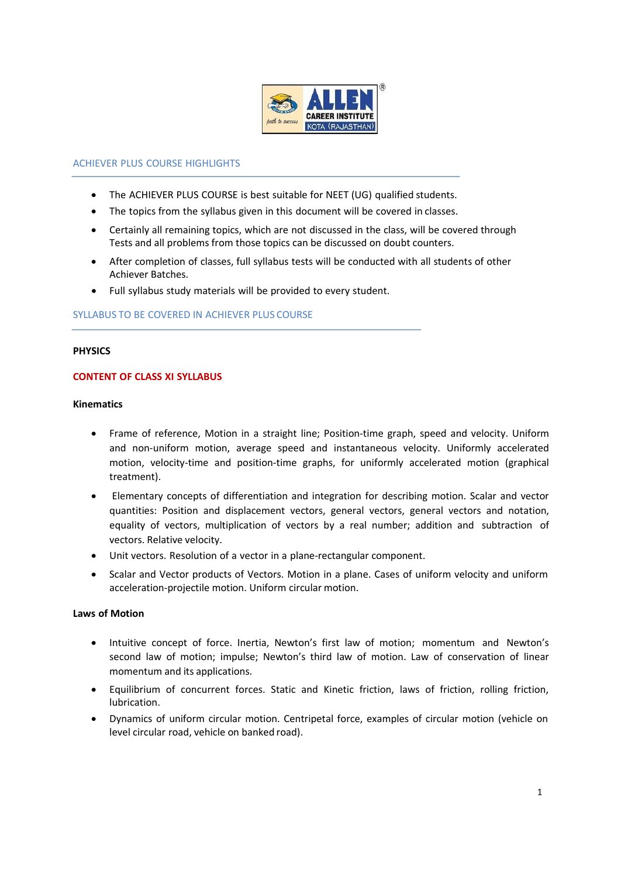

### ACHIEVER PLUS COURSE HIGHLIGHTS

- The ACHIEVER PLUS COURSE is best suitable for NEET (UG) qualified students.
- The topics from the syllabus given in this document will be covered in classes.
- Certainly all remaining topics, which are not discussed in the class, will be covered through Tests and all problems from those topics can be discussed on doubt counters.
- After completion of classes, full syllabus tests will be conducted with all students of other Achiever Batches.
- Full syllabus study materials will be provided to every student.

#### SYLLABUS TO BE COVERED IN ACHIEVER PLUS COURSE

#### **PHYSICS**

## **CONTENT OF CLASS XI SYLLABUS**

### **Kinematics**

- Frame of reference, Motion in a straight line; Position-time graph, speed and velocity. Uniform and non-uniform motion, average speed and instantaneous velocity. Uniformly accelerated motion, velocity-time and position-time graphs, for uniformly accelerated motion (graphical treatment).
- Elementary concepts of differentiation and integration for describing motion. Scalar and vector quantities: Position and displacement vectors, general vectors, general vectors and notation, equality of vectors, multiplication of vectors by a real number; addition and subtraction of vectors. Relative velocity.
- Unit vectors. Resolution of a vector in a plane-rectangular component.
- Scalar and Vector products of Vectors. Motion in a plane. Cases of uniform velocity and uniform acceleration-projectile motion. Uniform circular motion.

#### **Laws of Motion**

- Intuitive concept of force. Inertia, Newton's first law of motion; momentum and Newton's second law of motion; impulse; Newton's third law of motion. Law of conservation of linear momentum and its applications.
- Equilibrium of concurrent forces. Static and Kinetic friction, laws of friction, rolling friction, lubrication.
- Dynamics of uniform circular motion. Centripetal force, examples of circular motion (vehicle on level circular road, vehicle on banked road).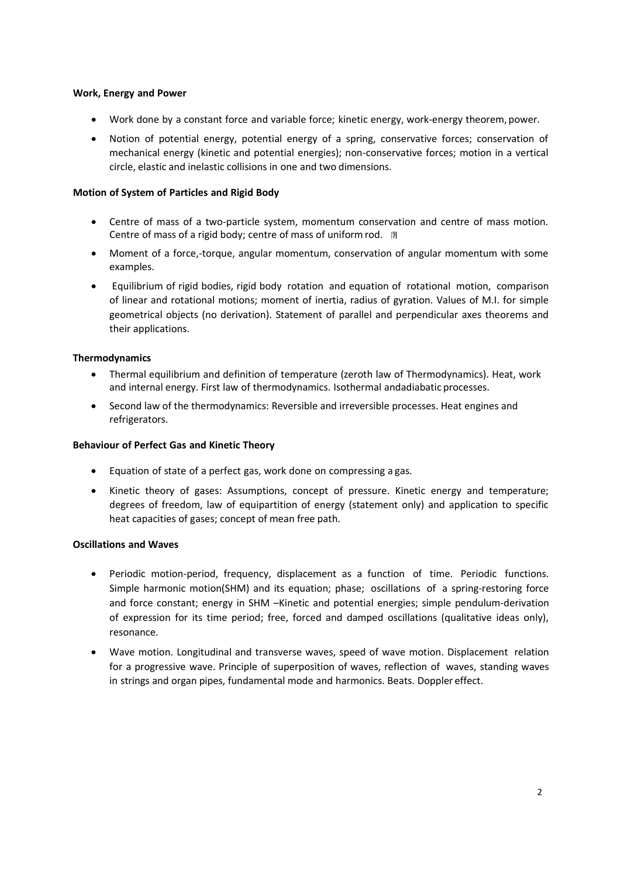# **Work, Energy and Power**

- Work done by a constant force and variable force; kinetic energy, work-energy theorem, power.
- Notion of potential energy, potential energy of a spring, conservative forces; conservation of mechanical energy (kinetic and potential energies); non-conservative forces; motion in a vertical circle, elastic and inelastic collisions in one and two dimensions.

## **Motion of System of Particles and Rigid Body**

- Centre of mass of a two-particle system, momentum conservation and centre of mass motion. Centre of mass of a rigid body; centre of mass of uniform rod. **P.**
- Moment of a force,-torque, angular momentum, conservation of angular momentum with some examples.
- Equilibrium of rigid bodies, rigid body rotation and equation of rotational motion, comparison of linear and rotational motions; moment of inertia, radius of gyration. Values of M.I. for simple geometrical objects (no derivation). Statement of parallel and perpendicular axes theorems and their applications.

## **Thermodynamics**

- Thermal equilibrium and definition of temperature (zeroth law of Thermodynamics). Heat, work and internal energy. First law of thermodynamics. Isothermal andadiabatic processes.
- Second law of the thermodynamics: Reversible and irreversible processes. Heat engines and refrigerators.

### **Behaviour of Perfect Gas and Kinetic Theory**

- Equation of state of a perfect gas, work done on compressing a gas.
- Kinetic theory of gases: Assumptions, concept of pressure. Kinetic energy and temperature; degrees of freedom, law of equipartition of energy (statement only) and application to specific heat capacities of gases; concept of mean free path.

# **Oscillations and Waves**

- Periodic motion-period, frequency, displacement as a function of time. Periodic functions. Simple harmonic motion(SHM) and its equation; phase; oscillations of a spring-restoring force and force constant; energy in SHM –Kinetic and potential energies; simple pendulum-derivation of expression for its time period; free, forced and damped oscillations (qualitative ideas only), resonance.
- Wave motion. Longitudinal and transverse waves, speed of wave motion. Displacement relation for a progressive wave. Principle of superposition of waves, reflection of waves, standing waves in strings and organ pipes, fundamental mode and harmonics. Beats. Doppler effect.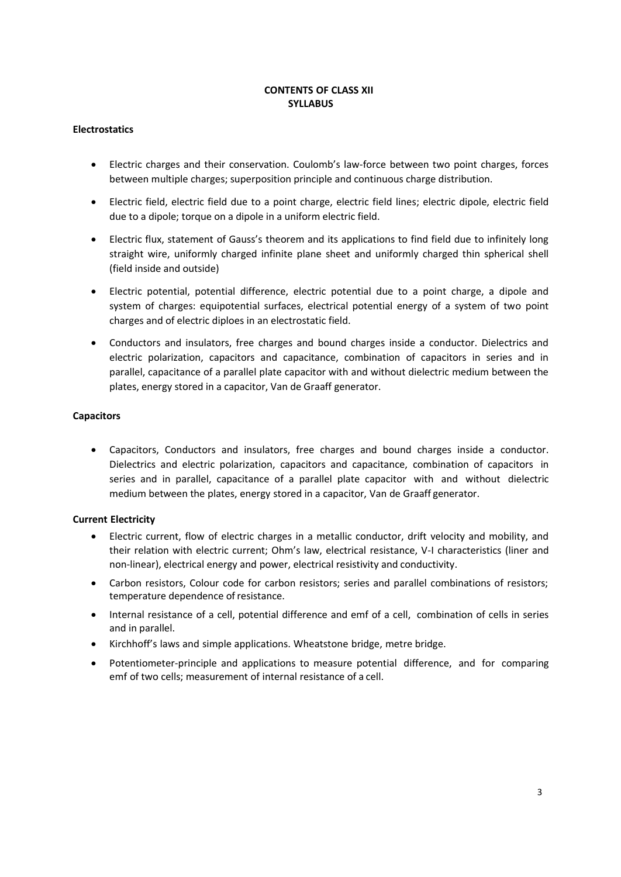# **CONTENTS OF CLASS XII SYLLABUS**

# **Electrostatics**

- Electric charges and their conservation. Coulomb's law-force between two point charges, forces between multiple charges; superposition principle and continuous charge distribution.
- Electric field, electric field due to a point charge, electric field lines; electric dipole, electric field due to a dipole; torque on a dipole in a uniform electric field.
- Electric flux, statement of Gauss's theorem and its applications to find field due to infinitely long straight wire, uniformly charged infinite plane sheet and uniformly charged thin spherical shell (field inside and outside)
- Electric potential, potential difference, electric potential due to a point charge, a dipole and system of charges: equipotential surfaces, electrical potential energy of a system of two point charges and of electric diploes in an electrostatic field.
- Conductors and insulators, free charges and bound charges inside a conductor. Dielectrics and electric polarization, capacitors and capacitance, combination of capacitors in series and in parallel, capacitance of a parallel plate capacitor with and without dielectric medium between the plates, energy stored in a capacitor, Van de Graaff generator.

## **Capacitors**

• Capacitors, Conductors and insulators, free charges and bound charges inside a conductor. Dielectrics and electric polarization, capacitors and capacitance, combination of capacitors in series and in parallel, capacitance of a parallel plate capacitor with and without dielectric medium between the plates, energy stored in a capacitor, Van de Graaff generator.

# **Current Electricity**

- Electric current, flow of electric charges in a metallic conductor, drift velocity and mobility, and their relation with electric current; Ohm's law, electrical resistance, V-I characteristics (liner and non-linear), electrical energy and power, electrical resistivity and conductivity.
- Carbon resistors, Colour code for carbon resistors; series and parallel combinations of resistors; temperature dependence of resistance.
- Internal resistance of a cell, potential difference and emf of a cell, combination of cells in series and in parallel.
- Kirchhoff's laws and simple applications. Wheatstone bridge, metre bridge.
- Potentiometer-principle and applications to measure potential difference, and for comparing emf of two cells; measurement of internal resistance of a cell.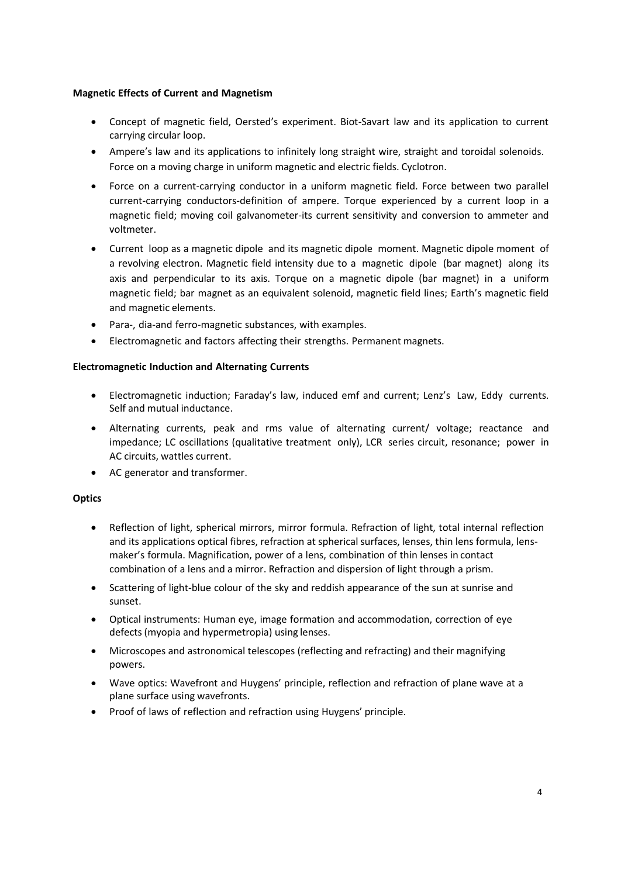# **Magnetic Effects of Current and Magnetism**

- Concept of magnetic field, Oersted's experiment. Biot-Savart law and its application to current carrying circular loop.
- Ampere's law and its applications to infinitely long straight wire, straight and toroidal solenoids. Force on a moving charge in uniform magnetic and electric fields. Cyclotron.
- Force on a current-carrying conductor in a uniform magnetic field. Force between two parallel current-carrying conductors-definition of ampere. Torque experienced by a current loop in a magnetic field; moving coil galvanometer-its current sensitivity and conversion to ammeter and voltmeter.
- Current loop as a magnetic dipole and its magnetic dipole moment. Magnetic dipole moment of a revolving electron. Magnetic field intensity due to a magnetic dipole (bar magnet) along its axis and perpendicular to its axis. Torque on a magnetic dipole (bar magnet) in a uniform magnetic field; bar magnet as an equivalent solenoid, magnetic field lines; Earth's magnetic field and magnetic elements.
- Para-, dia-and ferro-magnetic substances, with examples.
- Electromagnetic and factors affecting their strengths. Permanent magnets.

## **Electromagnetic Induction and Alternating Currents**

- Electromagnetic induction; Faraday's law, induced emf and current; Lenz's Law, Eddy currents. Self and mutual inductance.
- Alternating currents, peak and rms value of alternating current/ voltage; reactance and impedance; LC oscillations (qualitative treatment only), LCR series circuit, resonance; power in AC circuits, wattles current.
- AC generator and transformer.

# **Optics**

- Reflection of light, spherical mirrors, mirror formula. Refraction of light, total internal reflection and its applications optical fibres, refraction at spherical surfaces, lenses, thin lens formula, lensmaker's formula. Magnification, power of a lens, combination of thin lenses in contact combination of a lens and a mirror. Refraction and dispersion of light through a prism.
- Scattering of light-blue colour of the sky and reddish appearance of the sun at sunrise and sunset.
- Optical instruments: Human eye, image formation and accommodation, correction of eye defects(myopia and hypermetropia) using lenses.
- Microscopes and astronomical telescopes (reflecting and refracting) and their magnifying powers.
- Wave optics: Wavefront and Huygens' principle, reflection and refraction of plane wave at a plane surface using wavefronts.
- Proof of laws of reflection and refraction using Huygens' principle.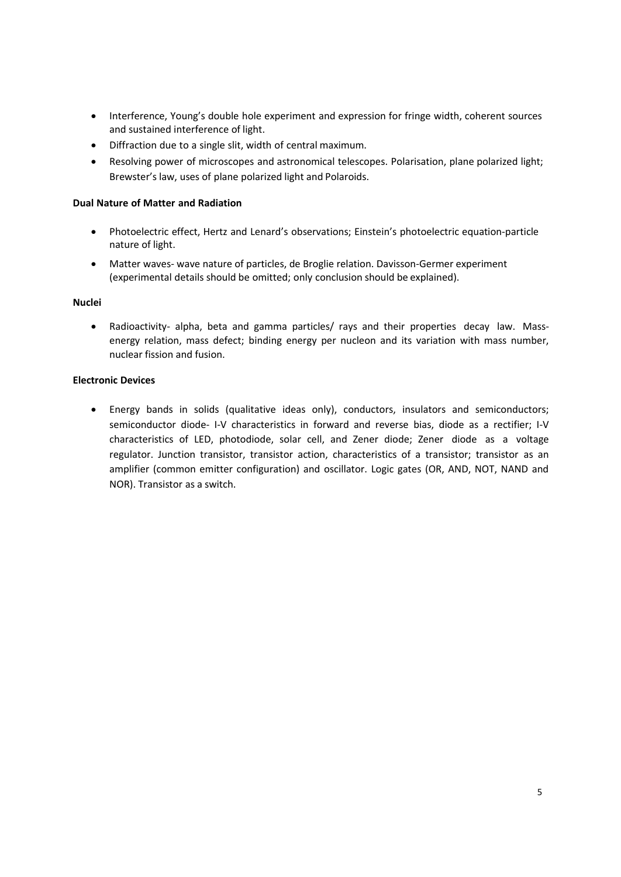- Interference, Young's double hole experiment and expression for fringe width, coherent sources and sustained interference of light.
- Diffraction due to a single slit, width of central maximum.
- Resolving power of microscopes and astronomical telescopes. Polarisation, plane polarized light; Brewster's law, uses of plane polarized light and Polaroids.

## **Dual Nature of Matter and Radiation**

- Photoelectric effect, Hertz and Lenard's observations; Einstein's photoelectric equation-particle nature of light.
- Matter waves- wave nature of particles, de Broglie relation. Davisson-Germer experiment (experimental details should be omitted; only conclusion should be explained).

#### **Nuclei**

• Radioactivity- alpha, beta and gamma particles/ rays and their properties decay law. Massenergy relation, mass defect; binding energy per nucleon and its variation with mass number, nuclear fission and fusion.

## **Electronic Devices**

• Energy bands in solids (qualitative ideas only), conductors, insulators and semiconductors; semiconductor diode- I-V characteristics in forward and reverse bias, diode as a rectifier; I-V characteristics of LED, photodiode, solar cell, and Zener diode; Zener diode as a voltage regulator. Junction transistor, transistor action, characteristics of a transistor; transistor as an amplifier (common emitter configuration) and oscillator. Logic gates (OR, AND, NOT, NAND and NOR). Transistor as a switch.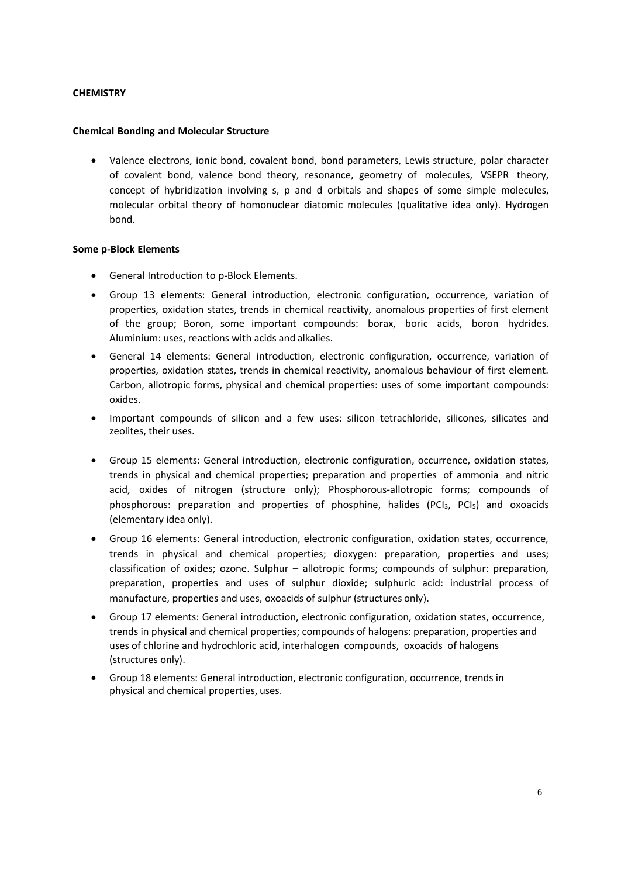# **CHEMISTRY**

### **Chemical Bonding and Molecular Structure**

• Valence electrons, ionic bond, covalent bond, bond parameters, Lewis structure, polar character of covalent bond, valence bond theory, resonance, geometry of molecules, VSEPR theory, concept of hybridization involving s, p and d orbitals and shapes of some simple molecules, molecular orbital theory of homonuclear diatomic molecules (qualitative idea only). Hydrogen bond.

## **Some p-Block Elements**

- General Introduction to p-Block Elements.
- Group 13 elements: General introduction, electronic configuration, occurrence, variation of properties, oxidation states, trends in chemical reactivity, anomalous properties of first element of the group; Boron, some important compounds: borax, boric acids, boron hydrides. Aluminium: uses, reactions with acids and alkalies.
- General 14 elements: General introduction, electronic configuration, occurrence, variation of properties, oxidation states, trends in chemical reactivity, anomalous behaviour of first element. Carbon, allotropic forms, physical and chemical properties: uses of some important compounds: oxides.
- Important compounds of silicon and a few uses: silicon tetrachloride, silicones, silicates and zeolites, their uses.
- Group 15 elements: General introduction, electronic configuration, occurrence, oxidation states, trends in physical and chemical properties; preparation and properties of ammonia and nitric acid, oxides of nitrogen (structure only); Phosphorous-allotropic forms; compounds of phosphorous: preparation and properties of phosphine, halides (PCI $_3$ , PCI $_5$ ) and oxoacids (elementary idea only).
- Group 16 elements: General introduction, electronic configuration, oxidation states, occurrence, trends in physical and chemical properties; dioxygen: preparation, properties and uses; classification of oxides; ozone. Sulphur – allotropic forms; compounds of sulphur: preparation, preparation, properties and uses of sulphur dioxide; sulphuric acid: industrial process of manufacture, properties and uses, oxoacids of sulphur (structures only).
- Group 17 elements: General introduction, electronic configuration, oxidation states, occurrence, trends in physical and chemical properties; compounds of halogens: preparation, properties and uses of chlorine and hydrochloric acid, interhalogen compounds, oxoacids of halogens (structures only).
- Group 18 elements: General introduction, electronic configuration, occurrence, trends in physical and chemical properties, uses.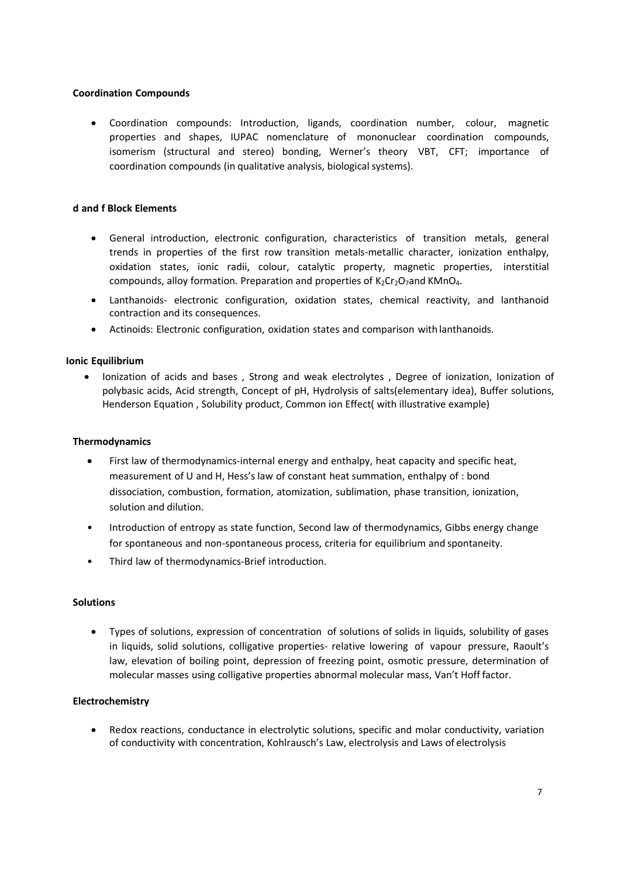# **Coordination Compounds**

• Coordination compounds: Introduction, ligands, coordination number, colour, magnetic properties and shapes, IUPAC nomenclature of mononuclear coordination compounds, isomerism (structural and stereo) bonding, Werner's theory VBT, CFT; importance of coordination compounds (in qualitative analysis, biological systems).

### **d and f Block Elements**

- General introduction, electronic configuration, characteristics of transition metals, general trends in properties of the first row transition metals-metallic character, ionization enthalpy, oxidation states, ionic radii, colour, catalytic property, magnetic properties, interstitial compounds, alloy formation. Preparation and properties of  $K_2Cr_2O_7$  and KMnO<sub>4</sub>.
- Lanthanoids- electronic configuration, oxidation states, chemical reactivity, and lanthanoid contraction and its consequences.
- Actinoids: Electronic configuration, oxidation states and comparison with lanthanoids.

## **Ionic Equilibrium**

• Ionization of acids and bases , Strong and weak electrolytes , Degree of ionization, Ionization of polybasic acids, Acid strength, Concept of pH, Hydrolysis of salts(elementary idea), Buffer solutions, Henderson Equation , Solubility product, Common ion Effect( with illustrative example)

### **Thermodynamics**

- First law of thermodynamics-internal energy and enthalpy, heat capacity and specific heat, measurement of U and H, Hess's law of constant heat summation, enthalpy of : bond dissociation, combustion, formation, atomization, sublimation, phase transition, ionization, solution and dilution.
- Introduction of entropy as state function, Second law of thermodynamics, Gibbs energy change for spontaneous and non-spontaneous process, criteria for equilibrium and spontaneity.
- Third law of thermodynamics-Brief introduction.

#### **Solutions**

• Types of solutions, expression of concentration of solutions of solids in liquids, solubility of gases in liquids, solid solutions, colligative properties- relative lowering of vapour pressure, Raoult's law, elevation of boiling point, depression of freezing point, osmotic pressure, determination of molecular masses using colligative properties abnormal molecular mass, Van't Hoff factor.

#### **Electrochemistry**

• Redox reactions, conductance in electrolytic solutions, specific and molar conductivity, variation of conductivity with concentration, Kohlrausch's Law, electrolysis and Laws of electrolysis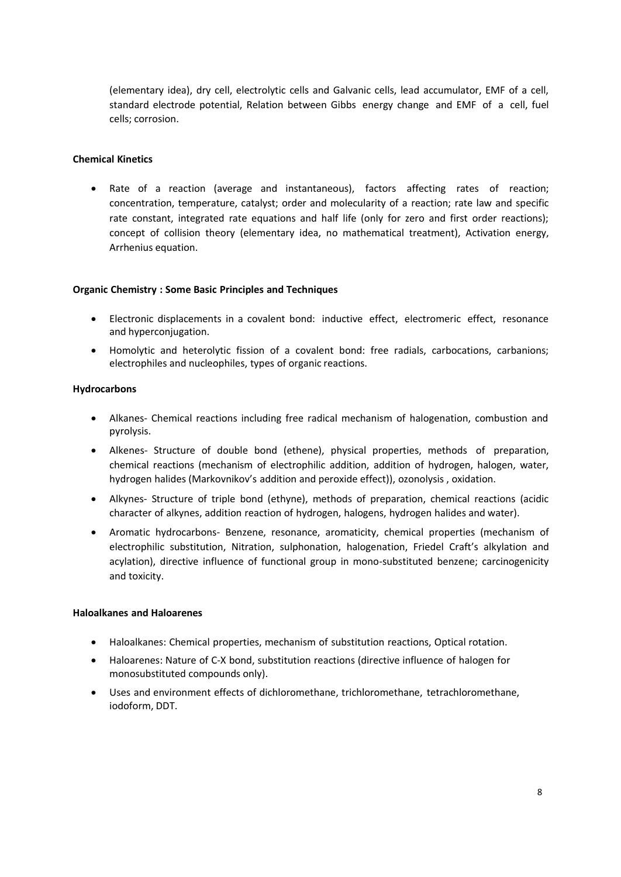(elementary idea), dry cell, electrolytic cells and Galvanic cells, lead accumulator, EMF of a cell, standard electrode potential, Relation between Gibbs energy change and EMF of a cell, fuel cells; corrosion.

# **Chemical Kinetics**

• Rate of a reaction (average and instantaneous), factors affecting rates of reaction; concentration, temperature, catalyst; order and molecularity of a reaction; rate law and specific rate constant, integrated rate equations and half life (only for zero and first order reactions); concept of collision theory (elementary idea, no mathematical treatment), Activation energy, Arrhenius equation.

#### **Organic Chemistry : Some Basic Principles and Techniques**

- Electronic displacements in a covalent bond: inductive effect, electromeric effect, resonance and hyperconjugation.
- Homolytic and heterolytic fission of a covalent bond: free radials, carbocations, carbanions; electrophiles and nucleophiles, types of organic reactions.

## **Hydrocarbons**

- Alkanes- Chemical reactions including free radical mechanism of halogenation, combustion and pyrolysis.
- Alkenes- Structure of double bond (ethene), physical properties, methods of preparation, chemical reactions (mechanism of electrophilic addition, addition of hydrogen, halogen, water, hydrogen halides (Markovnikov's addition and peroxide effect)), ozonolysis , oxidation.
- Alkynes- Structure of triple bond (ethyne), methods of preparation, chemical reactions (acidic character of alkynes, addition reaction of hydrogen, halogens, hydrogen halides and water).
- Aromatic hydrocarbons- Benzene, resonance, aromaticity, chemical properties (mechanism of electrophilic substitution, Nitration, sulphonation, halogenation, Friedel Craft's alkylation and acylation), directive influence of functional group in mono-substituted benzene; carcinogenicity and toxicity.

#### **Haloalkanes and Haloarenes**

- Haloalkanes: Chemical properties, mechanism of substitution reactions, Optical rotation.
- Haloarenes: Nature of C-X bond, substitution reactions (directive influence of halogen for monosubstituted compounds only).
- Uses and environment effects of dichloromethane, trichloromethane, tetrachloromethane, iodoform, DDT.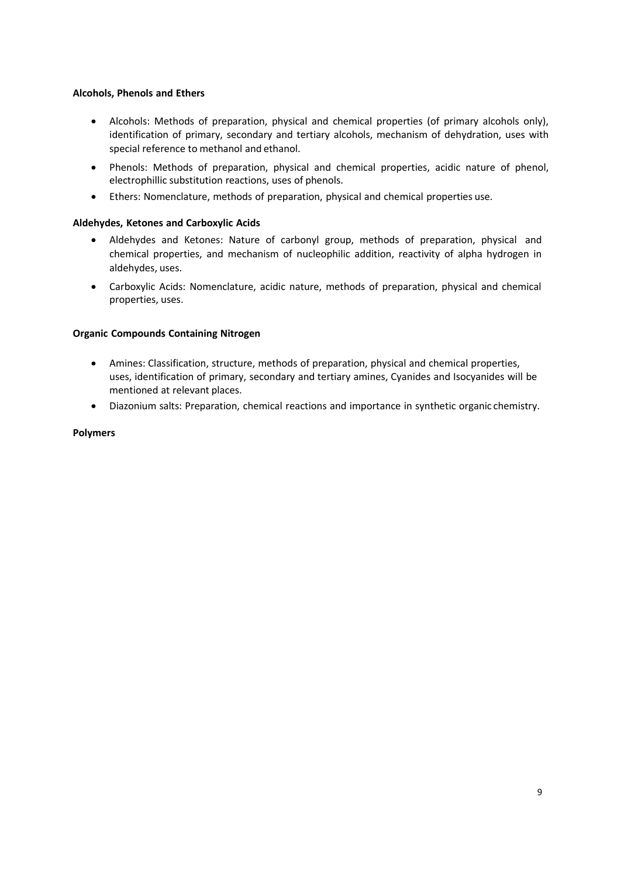# **Alcohols, Phenols and Ethers**

- Alcohols: Methods of preparation, physical and chemical properties (of primary alcohols only), identification of primary, secondary and tertiary alcohols, mechanism of dehydration, uses with special reference to methanol and ethanol.
- Phenols: Methods of preparation, physical and chemical properties, acidic nature of phenol, electrophillic substitution reactions, uses of phenols.
- Ethers: Nomenclature, methods of preparation, physical and chemical properties use.

# **Aldehydes, Ketones and Carboxylic Acids**

- Aldehydes and Ketones: Nature of carbonyl group, methods of preparation, physical and chemical properties, and mechanism of nucleophilic addition, reactivity of alpha hydrogen in aldehydes, uses.
- Carboxylic Acids: Nomenclature, acidic nature, methods of preparation, physical and chemical properties, uses.

## **Organic Compounds Containing Nitrogen**

- Amines: Classification, structure, methods of preparation, physical and chemical properties, uses, identification of primary, secondary and tertiary amines, Cyanides and Isocyanides will be mentioned at relevant places.
- Diazonium salts: Preparation, chemical reactions and importance in synthetic organic chemistry.

# **Polymers**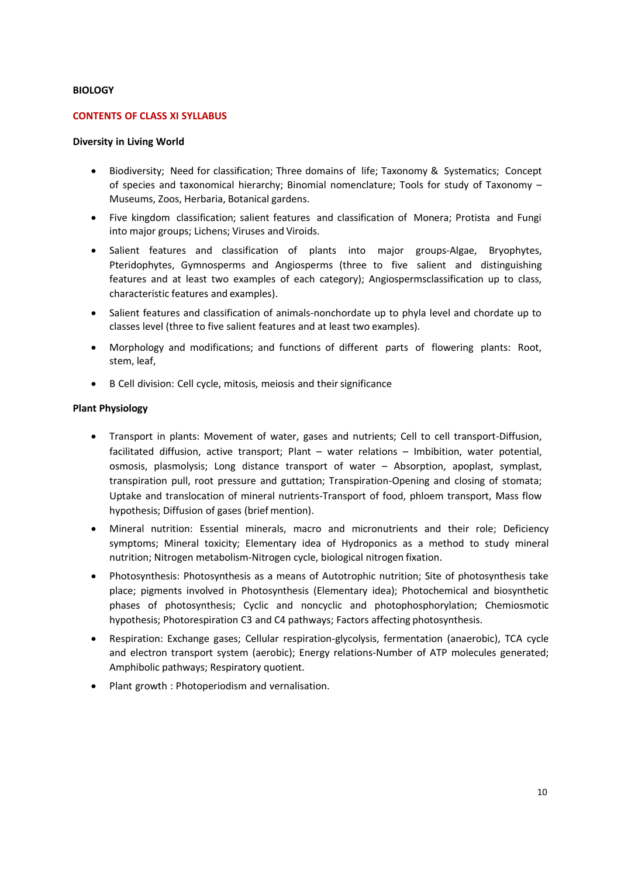### **BIOLOGY**

### **CONTENTS OF CLASS XI SYLLABUS**

#### **Diversity in Living World**

- Biodiversity; Need for classification; Three domains of life; Taxonomy & Systematics; Concept of species and taxonomical hierarchy; Binomial nomenclature; Tools for study of Taxonomy – Museums, Zoos, Herbaria, Botanical gardens.
- Five kingdom classification; salient features and classification of Monera; Protista and Fungi into major groups; Lichens; Viruses and Viroids.
- Salient features and classification of plants into major groups-Algae, Bryophytes, Pteridophytes, Gymnosperms and Angiosperms (three to five salient and distinguishing features and at least two examples of each category); Angiospermsclassification up to class, characteristic features and examples).
- Salient features and classification of animals-nonchordate up to phyla level and chordate up to classes level (three to five salient features and at least two examples).
- Morphology and modifications; and functions of different parts of flowering plants: Root, stem, leaf,
- B Cell division: Cell cycle, mitosis, meiosis and their significance

#### **Plant Physiology**

- Transport in plants: Movement of water, gases and nutrients; Cell to cell transport-Diffusion, facilitated diffusion, active transport; Plant – water relations – Imbibition, water potential, osmosis, plasmolysis; Long distance transport of water – Absorption, apoplast, symplast, transpiration pull, root pressure and guttation; Transpiration-Opening and closing of stomata; Uptake and translocation of mineral nutrients-Transport of food, phloem transport, Mass flow hypothesis; Diffusion of gases (brief mention).
- Mineral nutrition: Essential minerals, macro and micronutrients and their role; Deficiency symptoms; Mineral toxicity; Elementary idea of Hydroponics as a method to study mineral nutrition; Nitrogen metabolism-Nitrogen cycle, biological nitrogen fixation.
- Photosynthesis: Photosynthesis as a means of Autotrophic nutrition; Site of photosynthesis take place; pigments involved in Photosynthesis (Elementary idea); Photochemical and biosynthetic phases of photosynthesis; Cyclic and noncyclic and photophosphorylation; Chemiosmotic hypothesis; Photorespiration C3 and C4 pathways; Factors affecting photosynthesis.
- Respiration: Exchange gases; Cellular respiration-glycolysis, fermentation (anaerobic), TCA cycle and electron transport system (aerobic); Energy relations-Number of ATP molecules generated; Amphibolic pathways; Respiratory quotient.
- Plant growth : Photoperiodism and vernalisation.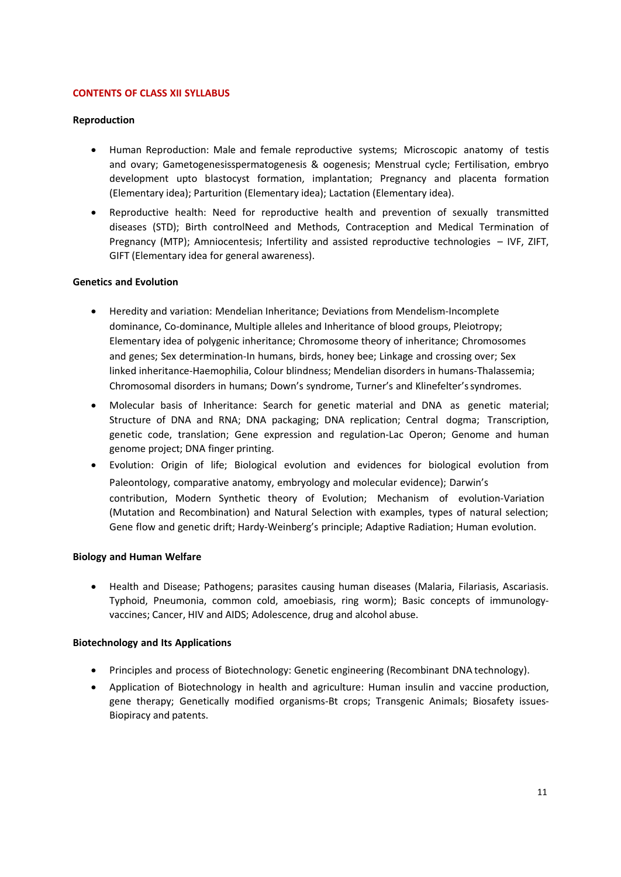# **CONTENTS OF CLASS XII SYLLABUS**

### **Reproduction**

- Human Reproduction: Male and female reproductive systems; Microscopic anatomy of testis and ovary; Gametogenesisspermatogenesis & oogenesis; Menstrual cycle; Fertilisation, embryo development upto blastocyst formation, implantation; Pregnancy and placenta formation (Elementary idea); Parturition (Elementary idea); Lactation (Elementary idea).
- Reproductive health: Need for reproductive health and prevention of sexually transmitted diseases (STD); Birth controlNeed and Methods, Contraception and Medical Termination of Pregnancy (MTP); Amniocentesis; Infertility and assisted reproductive technologies – IVF, ZIFT, GIFT (Elementary idea for general awareness).

## **Genetics and Evolution**

- Heredity and variation: Mendelian Inheritance; Deviations from Mendelism-Incomplete dominance, Co-dominance, Multiple alleles and Inheritance of blood groups, Pleiotropy; Elementary idea of polygenic inheritance; Chromosome theory of inheritance; Chromosomes and genes; Sex determination-In humans, birds, honey bee; Linkage and crossing over; Sex linked inheritance-Haemophilia, Colour blindness; Mendelian disorders in humans-Thalassemia; Chromosomal disorders in humans; Down's syndrome, Turner's and Klinefelter'ssyndromes.
- Molecular basis of Inheritance: Search for genetic material and DNA as genetic material; Structure of DNA and RNA; DNA packaging; DNA replication; Central dogma; Transcription, genetic code, translation; Gene expression and regulation-Lac Operon; Genome and human genome project; DNA finger printing.
- Evolution: Origin of life; Biological evolution and evidences for biological evolution from Paleontology, comparative anatomy, embryology and molecular evidence); Darwin's contribution, Modern Synthetic theory of Evolution; Mechanism of evolution-Variation (Mutation and Recombination) and Natural Selection with examples, types of natural selection; Gene flow and genetic drift; Hardy-Weinberg's principle; Adaptive Radiation; Human evolution.

#### **Biology and Human Welfare**

• Health and Disease; Pathogens; parasites causing human diseases (Malaria, Filariasis, Ascariasis. Typhoid, Pneumonia, common cold, amoebiasis, ring worm); Basic concepts of immunologyvaccines; Cancer, HIV and AIDS; Adolescence, drug and alcohol abuse.

# **Biotechnology and Its Applications**

- Principles and process of Biotechnology: Genetic engineering (Recombinant DNA technology).
- Application of Biotechnology in health and agriculture: Human insulin and vaccine production, gene therapy; Genetically modified organisms-Bt crops; Transgenic Animals; Biosafety issues-Biopiracy and patents.